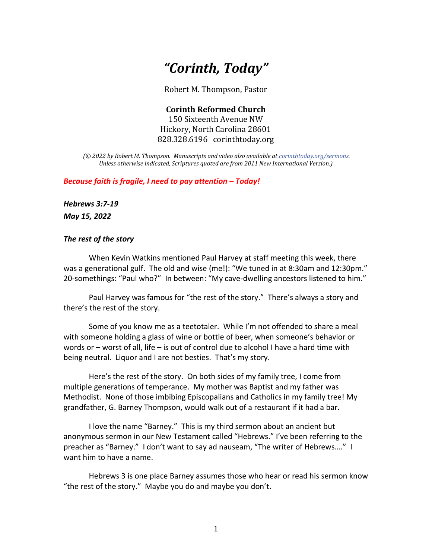# *"Corinth, Today"*

Robert M. Thompson, Pastor

**Corinth Reformed Church** 150 Sixteenth Avenue NW Hickory, North Carolina 28601 828.328.6196 corinthtoday.org

*(© 2022 by Robert M. Thompson. Manuscripts and video also available a[t corinthtoday.org/sermons.](https://corinthtoday.org/sermons-2/) Unless otherwise indicated, Scriptures quoted are from 2011 New International Version.)*

*Because faith is fragile, I need to pay attention – Today!* 

*Hebrews 3:7-19*

*May 15, 2022*

### *The rest of the story*

When Kevin Watkins mentioned Paul Harvey at staff meeting this week, there was a generational gulf. The old and wise (me!): "We tuned in at 8:30am and 12:30pm." 20-somethings: "Paul who?" In between: "My cave-dwelling ancestors listened to him."

Paul Harvey was famous for "the rest of the story." There's always a story and there's the rest of the story.

Some of you know me as a teetotaler. While I'm not offended to share a meal with someone holding a glass of wine or bottle of beer, when someone's behavior or words or – worst of all, life – is out of control due to alcohol I have a hard time with being neutral. Liquor and I are not besties. That's my story.

Here's the rest of the story. On both sides of my family tree, I come from multiple generations of temperance. My mother was Baptist and my father was Methodist. None of those imbibing Episcopalians and Catholics in my family tree! My grandfather, G. Barney Thompson, would walk out of a restaurant if it had a bar.

I love the name "Barney." This is my third sermon about an ancient but anonymous sermon in our New Testament called "Hebrews." I've been referring to the preacher as "Barney." I don't want to say ad nauseam, "The writer of Hebrews…." I want him to have a name.

Hebrews 3 is one place Barney assumes those who hear or read his sermon know "the rest of the story." Maybe you do and maybe you don't.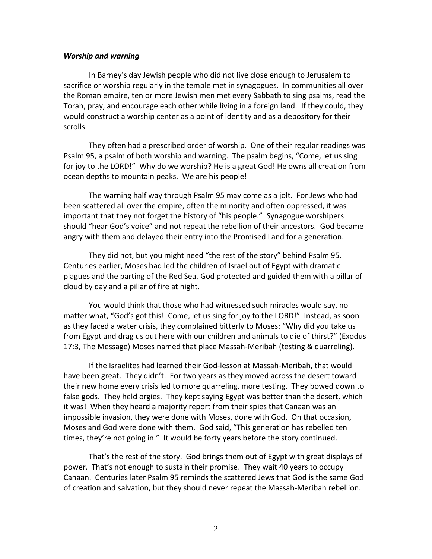### *Worship and warning*

In Barney's day Jewish people who did not live close enough to Jerusalem to sacrifice or worship regularly in the temple met in synagogues. In communities all over the Roman empire, ten or more Jewish men met every Sabbath to sing psalms, read the Torah, pray, and encourage each other while living in a foreign land. If they could, they would construct a worship center as a point of identity and as a depository for their scrolls.

They often had a prescribed order of worship. One of their regular readings was Psalm 95, a psalm of both worship and warning. The psalm begins, "Come, let us sing for joy to the LORD!" Why do we worship? He is a great God! He owns all creation from ocean depths to mountain peaks. We are his people!

The warning half way through Psalm 95 may come as a jolt. For Jews who had been scattered all over the empire, often the minority and often oppressed, it was important that they not forget the history of "his people." Synagogue worshipers should "hear God's voice" and not repeat the rebellion of their ancestors. God became angry with them and delayed their entry into the Promised Land for a generation.

They did not, but you might need "the rest of the story" behind Psalm 95. Centuries earlier, Moses had led the children of Israel out of Egypt with dramatic plagues and the parting of the Red Sea. God protected and guided them with a pillar of cloud by day and a pillar of fire at night.

You would think that those who had witnessed such miracles would say, no matter what, "God's got this! Come, let us sing for joy to the LORD!" Instead, as soon as they faced a water crisis, they complained bitterly to Moses: "Why did you take us from Egypt and drag us out here with our children and animals to die of thirst?" (Exodus 17:3, The Message) Moses named that place Massah-Meribah (testing & quarreling).

If the Israelites had learned their God-lesson at Massah-Meribah, that would have been great. They didn't. For two years as they moved across the desert toward their new home every crisis led to more quarreling, more testing. They bowed down to false gods. They held orgies. They kept saying Egypt was better than the desert, which it was! When they heard a majority report from their spies that Canaan was an impossible invasion, they were done with Moses, done with God. On that occasion, Moses and God were done with them. God said, "This generation has rebelled ten times, they're not going in." It would be forty years before the story continued.

That's the rest of the story. God brings them out of Egypt with great displays of power. That's not enough to sustain their promise. They wait 40 years to occupy Canaan. Centuries later Psalm 95 reminds the scattered Jews that God is the same God of creation and salvation, but they should never repeat the Massah-Meribah rebellion.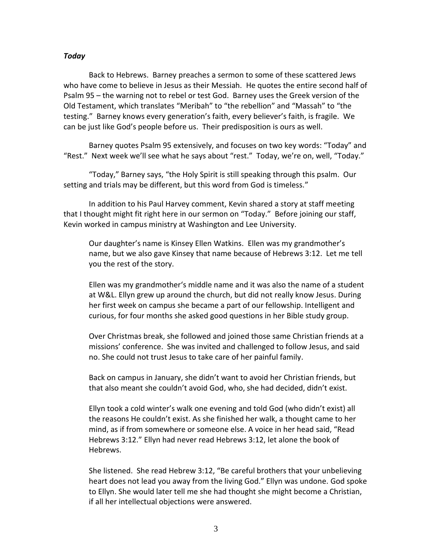## *Today*

Back to Hebrews. Barney preaches a sermon to some of these scattered Jews who have come to believe in Jesus as their Messiah. He quotes the entire second half of Psalm 95 – the warning not to rebel or test God. Barney uses the Greek version of the Old Testament, which translates "Meribah" to "the rebellion" and "Massah" to "the testing." Barney knows every generation's faith, every believer's faith, is fragile. We can be just like God's people before us. Their predisposition is ours as well.

Barney quotes Psalm 95 extensively, and focuses on two key words: "Today" and "Rest." Next week we'll see what he says about "rest." Today, we're on, well, "Today."

"Today," Barney says, "the Holy Spirit is still speaking through this psalm. Our setting and trials may be different, but this word from God is timeless."

In addition to his Paul Harvey comment, Kevin shared a story at staff meeting that I thought might fit right here in our sermon on "Today." Before joining our staff, Kevin worked in campus ministry at Washington and Lee University.

Our daughter's name is Kinsey Ellen Watkins. Ellen was my grandmother's name, but we also gave Kinsey that name because of Hebrews 3:12. Let me tell you the rest of the story.

Ellen was my grandmother's middle name and it was also the name of a student at W&L. Ellyn grew up around the church, but did not really know Jesus. During her first week on campus she became a part of our fellowship. Intelligent and curious, for four months she asked good questions in her Bible study group.

Over Christmas break, she followed and joined those same Christian friends at a missions' conference. She was invited and challenged to follow Jesus, and said no. She could not trust Jesus to take care of her painful family.

Back on campus in January, she didn't want to avoid her Christian friends, but that also meant she couldn't avoid God, who, she had decided, didn't exist.

Ellyn took a cold winter's walk one evening and told God (who didn't exist) all the reasons He couldn't exist. As she finished her walk, a thought came to her mind, as if from somewhere or someone else. A voice in her head said, "Read Hebrews 3:12." Ellyn had never read Hebrews 3:12, let alone the book of Hebrews.

She listened. She read Hebrew 3:12, "Be careful brothers that your unbelieving heart does not lead you away from the living God." Ellyn was undone. God spoke to Ellyn. She would later tell me she had thought she might become a Christian, if all her intellectual objections were answered.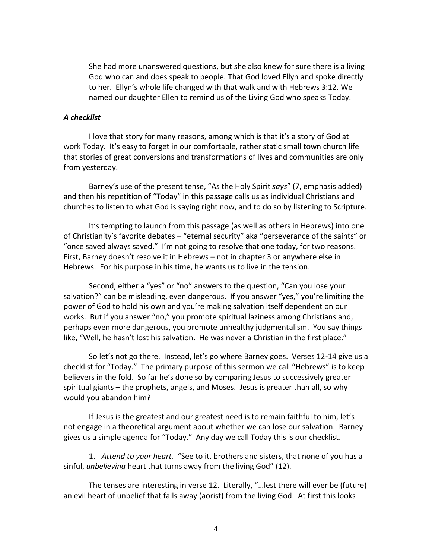She had more unanswered questions, but she also knew for sure there is a living God who can and does speak to people. That God loved Ellyn and spoke directly to her. Ellyn's whole life changed with that walk and with Hebrews 3:12. We named our daughter Ellen to remind us of the Living God who speaks Today.

## *A checklist*

I love that story for many reasons, among which is that it's a story of God at work Today. It's easy to forget in our comfortable, rather static small town church life that stories of great conversions and transformations of lives and communities are only from yesterday.

Barney's use of the present tense, "As the Holy Spirit *says*" (7, emphasis added) and then his repetition of "Today" in this passage calls us as individual Christians and churches to listen to what God is saying right now, and to do so by listening to Scripture.

It's tempting to launch from this passage (as well as others in Hebrews) into one of Christianity's favorite debates – "eternal security" aka "perseverance of the saints" or "once saved always saved." I'm not going to resolve that one today, for two reasons. First, Barney doesn't resolve it in Hebrews – not in chapter 3 or anywhere else in Hebrews. For his purpose in his time, he wants us to live in the tension.

Second, either a "yes" or "no" answers to the question, "Can you lose your salvation?" can be misleading, even dangerous. If you answer "yes," you're limiting the power of God to hold his own and you're making salvation itself dependent on our works. But if you answer "no," you promote spiritual laziness among Christians and, perhaps even more dangerous, you promote unhealthy judgmentalism. You say things like, "Well, he hasn't lost his salvation. He was never a Christian in the first place."

So let's not go there. Instead, let's go where Barney goes. Verses 12-14 give us a checklist for "Today." The primary purpose of this sermon we call "Hebrews" is to keep believers in the fold. So far he's done so by comparing Jesus to successively greater spiritual giants – the prophets, angels, and Moses. Jesus is greater than all, so why would you abandon him?

If Jesus is the greatest and our greatest need is to remain faithful to him, let's not engage in a theoretical argument about whether we can lose our salvation. Barney gives us a simple agenda for "Today." Any day we call Today this is our checklist.

1. *Attend to your heart.* "See to it, brothers and sisters, that none of you has a sinful, *unbelieving* heart that turns away from the living God" (12).

The tenses are interesting in verse 12. Literally, "…lest there will ever be (future) an evil heart of unbelief that falls away (aorist) from the living God. At first this looks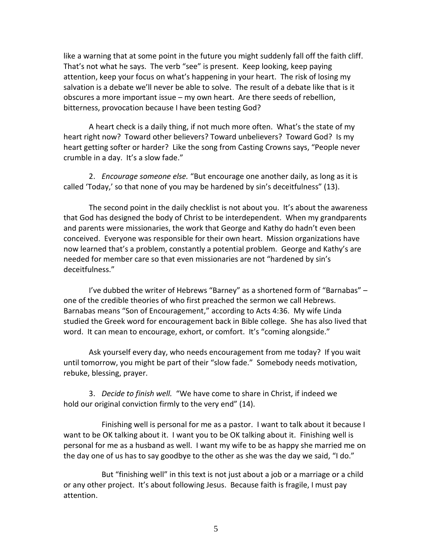like a warning that at some point in the future you might suddenly fall off the faith cliff. That's not what he says. The verb "see" is present. Keep looking, keep paying attention, keep your focus on what's happening in your heart. The risk of losing my salvation is a debate we'll never be able to solve. The result of a debate like that is it obscures a more important issue – my own heart. Are there seeds of rebellion, bitterness, provocation because I have been testing God?

A heart check is a daily thing, if not much more often. What's the state of my heart right now? Toward other believers? Toward unbelievers? Toward God? Is my heart getting softer or harder? Like the song from Casting Crowns says, "People never crumble in a day. It's a slow fade."

2. *Encourage someone else.* "But encourage one another daily, as long as it is called 'Today,' so that none of you may be hardened by sin's deceitfulness" (13).

The second point in the daily checklist is not about you. It's about the awareness that God has designed the body of Christ to be interdependent. When my grandparents and parents were missionaries, the work that George and Kathy do hadn't even been conceived. Everyone was responsible for their own heart. Mission organizations have now learned that's a problem, constantly a potential problem. George and Kathy's are needed for member care so that even missionaries are not "hardened by sin's deceitfulness."

I've dubbed the writer of Hebrews "Barney" as a shortened form of "Barnabas" – one of the credible theories of who first preached the sermon we call Hebrews. Barnabas means "Son of Encouragement," according to Acts 4:36. My wife Linda studied the Greek word for encouragement back in Bible college. She has also lived that word. It can mean to encourage, exhort, or comfort. It's "coming alongside."

Ask yourself every day, who needs encouragement from me today? If you wait until tomorrow, you might be part of their "slow fade." Somebody needs motivation, rebuke, blessing, prayer.

3. *Decide to finish well.* "We have come to share in Christ, if indeed we hold our original conviction firmly to the very end" (14).

Finishing well is personal for me as a pastor. I want to talk about it because I want to be OK talking about it. I want you to be OK talking about it. Finishing well is personal for me as a husband as well. I want my wife to be as happy she married me on the day one of us has to say goodbye to the other as she was the day we said, "I do."

But "finishing well" in this text is not just about a job or a marriage or a child or any other project. It's about following Jesus. Because faith is fragile, I must pay attention.